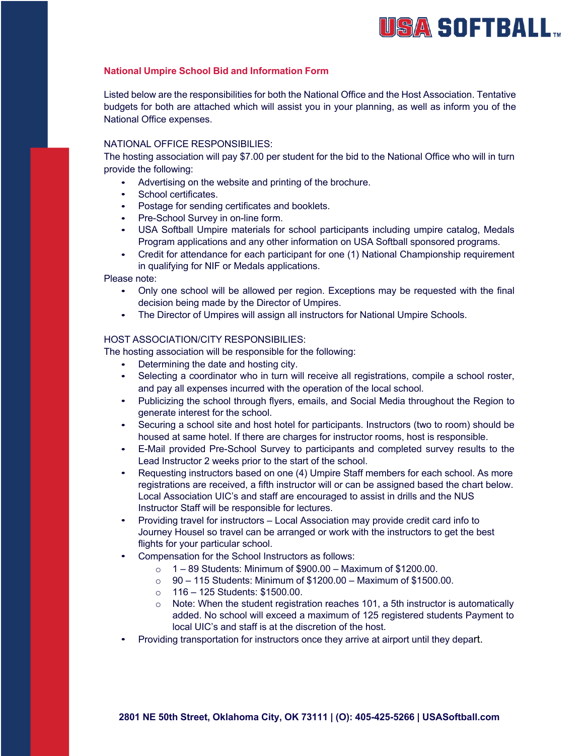# USA SOFTBALL...

# **National Umpire School Bid and Information Form**

Listed below are the responsibilities for both the National Office and the Host Association. Tentative budgets for both are attached which will assist you in your planning, as well as inform you of the National Office expenses.

# NATIONAL OFFICE RESPONSIBILIES:

The hosting association will pay \$7.00 per student for the bid to the National Office who will in turn provide the following:

- Advertising on the website and printing of the brochure.
- School certificates.
- Postage for sending certificates and booklets.
- Pre-School Survey in on-line form.
- USA Softball Umpire materials for school participants including umpire catalog, Medals Program applications and any other information on USA Softball sponsored programs.
- Credit for attendance for each participant for one (1) National Championship requirement in qualifying for NIF or Medals applications.

Please note:

- Only one school will be allowed per region. Exceptions may be requested with the final decision being made by the Director of Umpires.
- The Director of Umpires will assign all instructors for National Umpire Schools.

## HOST ASSOCIATION/CITY RESPONSIBILIES:

The hosting association will be responsible for the following:

- Determining the date and hosting city.
- Selecting a coordinator who in turn will receive all registrations, compile a school roster, and pay all expenses incurred with the operation of the local school.
- Publicizing the school through flyers, emails, and Social Media throughout the Region to generate interest for the school.
- Securing a school site and host hotel for participants. Instructors (two to room) should be housed at same hotel. If there are charges for instructor rooms, host is responsible.
- E-Mail provided Pre-School Survey to participants and completed survey results to the Lead Instructor 2 weeks prior to the start of the school.
- Requesting instructors based on one (4) Umpire Staff members for each school. As more registrations are received, a fifth instructor will or can be assigned based the chart below. Local Association UIC's and staff are encouraged to assist in drills and the NUS Instructor Staff will be responsible for lectures.
- Providing travel for instructors Local Association may provide credit card info to Journey Housel so travel can be arranged or work with the instructors to get the best flights for your particular school.
- Compensation for the School Instructors as follows:
	- $\circ$  1 89 Students: Minimum of \$900.00 Maximum of \$1200.00.
	- $\degree$  90 115 Students: Minimum of \$1200.00 Maximum of \$1500.00.
	- $\circ$  116 125 Students: \$1500.00.
	- o Note: When the student registration reaches 101, a 5th instructor is automatically added. No school will exceed a maximum of 125 registered students Payment to local UIC's and staff is at the discretion of the host.
- Providing transportation for instructors once they arrive at airport until they depart.